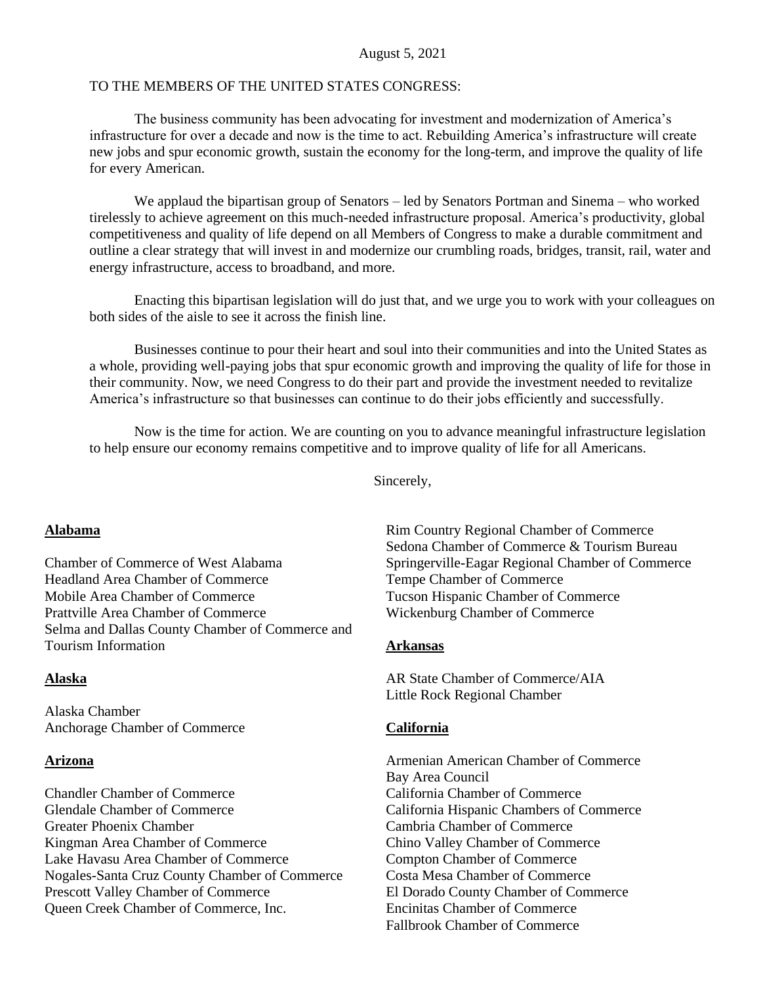#### August 5, 2021

#### TO THE MEMBERS OF THE UNITED STATES CONGRESS·

The business community has been advocating for investment and modernization of America's infrastructure for over a decade and now is the time to act. Rebuilding America's infrastructure will create new jobs and spur economic growth, sustain the economy for the long-term, and improve the quality of life for every American.

We applaud the bipartisan group of Senators – led by Senators Portman and Sinema – who worked tirelessly to achieve agreement on this much-needed infrastructure proposal. America's productivity, global competitiveness and quality of life depend on all Members of Congress to make a durable commitment and outline a clear strategy that will invest in and modernize our crumbling roads, bridges, transit, rail, water and energy infrastructure, access to broadband, and more.

Enacting this bipartisan legislation will do just that, and we urge you to work with your colleagues on both sides of the aisle to see it across the finish line.

Businesses continue to pour their heart and soul into their communities and into the United States as a whole, providing well-paying jobs that spur economic growth and improving the quality of life for those in their community. Now, we need Congress to do their part and provide the investment needed to revitalize America's infrastructure so that businesses can continue to do their jobs efficiently and successfully.

Now is the time for action. We are counting on you to advance meaningful infrastructure legislation to help ensure our economy remains competitive and to improve quality of life for all Americans.

Sincerely,

#### **Alabama**

Chamber of Commerce of West Alabama Headland Area Chamber of Commerce Mobile Area Chamber of Commerce Prattville Area Chamber of Commerce Selma and Dallas County Chamber of Commerce and Tourism Information

#### **Alaska**

Alaska Chamber Anchorage Chamber of Commerce

#### **Arizona**

Chandler Chamber of Commerce Glendale Chamber of Commerce Greater Phoenix Chamber Kingman Area Chamber of Commerce Lake Havasu Area Chamber of Commerce Nogales-Santa Cruz County Chamber of Commerce Prescott Valley Chamber of Commerce Queen Creek Chamber of Commerce, Inc.

Rim Country Regional Chamber of Commerce Sedona Chamber of Commerce & Tourism Bureau Springerville-Eagar Regional Chamber of Commerce Tempe Chamber of Commerce Tucson Hispanic Chamber of Commerce Wickenburg Chamber of Commerce

#### **Arkansas**

AR State Chamber of Commerce/AIA Little Rock Regional Chamber

#### **California**

Armenian American Chamber of Commerce Bay Area Council California Chamber of Commerce California Hispanic Chambers of Commerce Cambria Chamber of Commerce Chino Valley Chamber of Commerce Compton Chamber of Commerce Costa Mesa Chamber of Commerce El Dorado County Chamber of Commerce Encinitas Chamber of Commerce Fallbrook Chamber of Commerce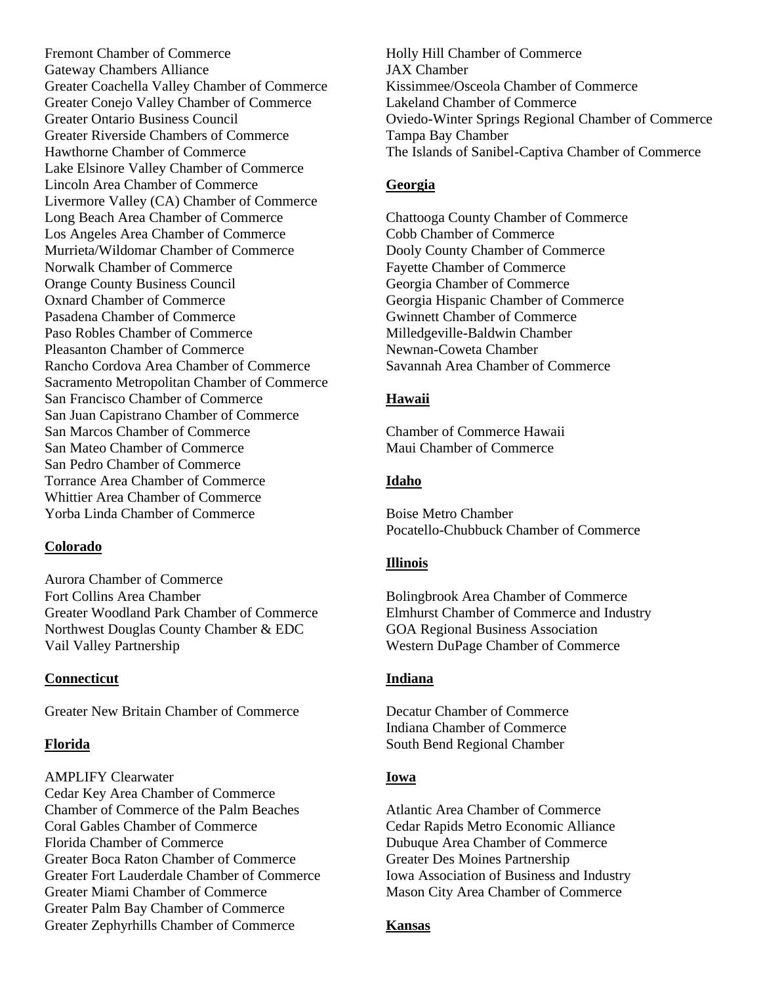Fremont Chamber of Commerce Gateway Chambers Alliance Greater Coachella Valley Chamber of Commerce Greater Conejo Valley Chamber of Commerce Greater Ontario Business Council Greater Riverside Chambers of Commerce Hawthorne Chamber of Commerce Lake Elsinore Valley Chamber of Commerce Lincoln Area Chamber of Commerce Livermore Valley (CA) Chamber of Commerce Long Beach Area Chamber of Commerce Los Angeles Area Chamber of Commerce Murrieta/Wildomar Chamber of Commerce Norwalk Chamber of Commerce Orange County Business Council Oxnard Chamber of Commerce Pasadena Chamber of Commerce Paso Robles Chamber of Commerce Pleasanton Chamber of Commerce Rancho Cordova Area Chamber of Commerce Sacramento Metropolitan Chamber of Commerce San Francisco Chamber of Commerce San Juan Capistrano Chamber of Commerce San Marcos Chamber of Commerce San Mateo Chamber of Commerce San Pedro Chamber of Commerce Torrance Area Chamber of Commerce Whittier Area Chamber of Commerce Yorba Linda Chamber of Commerce

#### **Colorado**

Aurora Chamber of Commerce Fort Collins Area Chamber Greater Woodland Park Chamber of Commerce Northwest Douglas County Chamber & EDC Vail Valley Partnership

#### **Connecticut**

Greater New Britain Chamber of Commerce

#### **Florida**

AMPLIFY Clearwater Cedar Key Area Chamber of Commerce Chamber of Commerce of the Palm Beaches Coral Gables Chamber of Commerce Florida Chamber of Commerce Greater Boca Raton Chamber of Commerce Greater Fort Lauderdale Chamber of Commerce Greater Miami Chamber of Commerce Greater Palm Bay Chamber of Commerce Greater Zephyrhills Chamber of Commerce

Holly Hill Chamber of Commerce JAX Chamber Kissimmee/Osceola Chamber of Commerce Lakeland Chamber of Commerce Oviedo-Winter Springs Regional Chamber of Commerce Tampa Bay Chamber The Islands of Sanibel-Captiva Chamber of Commerce

# **Georgia**

Chattooga County Chamber of Commerce Cobb Chamber of Commerce Dooly County Chamber of Commerce Fayette Chamber of Commerce Georgia Chamber of Commerce Georgia Hispanic Chamber of Commerce Gwinnett Chamber of Commerce Milledgeville-Baldwin Chamber Newnan-Coweta Chamber Savannah Area Chamber of Commerce

#### **Hawaii**

Chamber of Commerce Hawaii Maui Chamber of Commerce

#### **Idaho**

Boise Metro Chamber Pocatello-Chubbuck Chamber of Commerce

#### **Illinois**

Bolingbrook Area Chamber of Commerce Elmhurst Chamber of Commerce and Industry GOA Regional Business Association Western DuPage Chamber of Commerce

#### **Indiana**

Decatur Chamber of Commerce Indiana Chamber of Commerce South Bend Regional Chamber

#### **Iowa**

Atlantic Area Chamber of Commerce Cedar Rapids Metro Economic Alliance Dubuque Area Chamber of Commerce Greater Des Moines Partnership Iowa Association of Business and Industry Mason City Area Chamber of Commerce

#### **Kansas**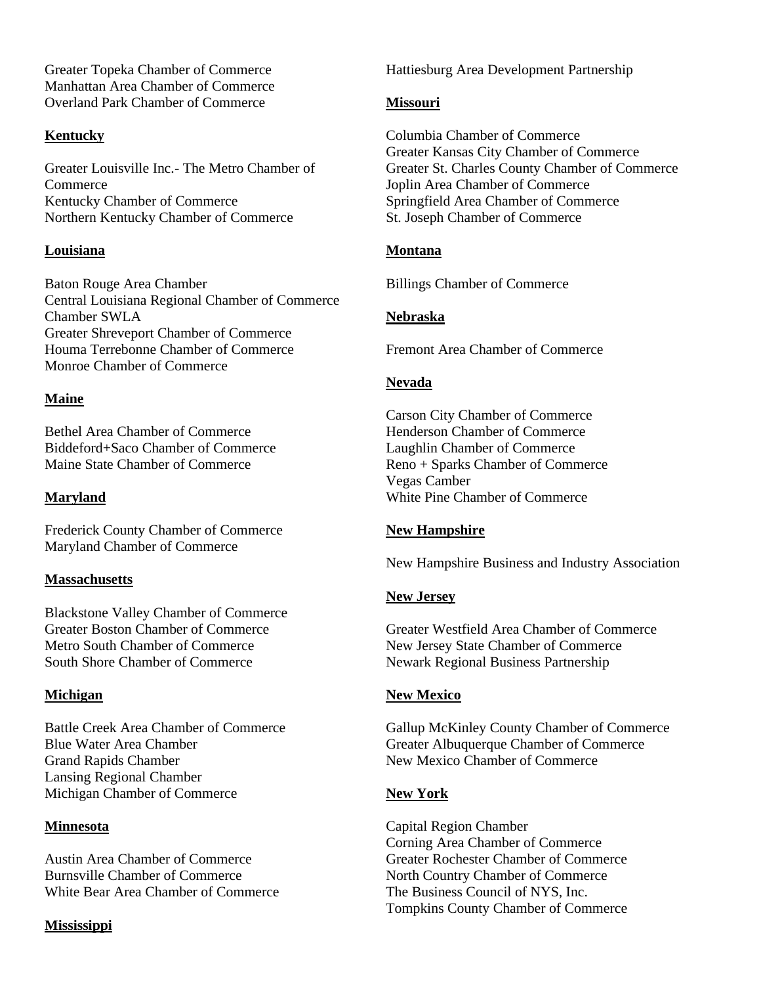Greater Topeka Chamber of Commerce Manhattan Area Chamber of Commerce Overland Park Chamber of Commerce

## **Kentucky**

Greater Louisville Inc.- The Metro Chamber of Commerce Kentucky Chamber of Commerce Northern Kentucky Chamber of Commerce

## **Louisiana**

Baton Rouge Area Chamber Central Louisiana Regional Chamber of Commerce Chamber SWLA Greater Shreveport Chamber of Commerce Houma Terrebonne Chamber of Commerce Monroe Chamber of Commerce

## **Maine**

Bethel Area Chamber of Commerce Biddeford+Saco Chamber of Commerce Maine State Chamber of Commerce

# **Maryland**

Frederick County Chamber of Commerce Maryland Chamber of Commerce

## **Massachusetts**

Blackstone Valley Chamber of Commerce Greater Boston Chamber of Commerce Metro South Chamber of Commerce South Shore Chamber of Commerce

## **Michigan**

Battle Creek Area Chamber of Commerce Blue Water Area Chamber Grand Rapids Chamber Lansing Regional Chamber Michigan Chamber of Commerce

## **Minnesota**

Austin Area Chamber of Commerce Burnsville Chamber of Commerce White Bear Area Chamber of Commerce

#### **Mississippi**

Hattiesburg Area Development Partnership

## **Missouri**

Columbia Chamber of Commerce Greater Kansas City Chamber of Commerce Greater St. Charles County Chamber of Commerce Joplin Area Chamber of Commerce Springfield Area Chamber of Commerce St. Joseph Chamber of Commerce

## **Montana**

Billings Chamber of Commerce

## **Nebraska**

Fremont Area Chamber of Commerce

## **Nevada**

Carson City Chamber of Commerce Henderson Chamber of Commerce Laughlin Chamber of Commerce Reno + Sparks Chamber of Commerce Vegas Camber White Pine Chamber of Commerce

## **New Hampshire**

New Hampshire Business and Industry Association

#### **New Jersey**

Greater Westfield Area Chamber of Commerce New Jersey State Chamber of Commerce Newark Regional Business Partnership

## **New Mexico**

Gallup McKinley County Chamber of Commerce Greater Albuquerque Chamber of Commerce New Mexico Chamber of Commerce

## **New York**

Capital Region Chamber Corning Area Chamber of Commerce Greater Rochester Chamber of Commerce North Country Chamber of Commerce The Business Council of NYS, Inc. Tompkins County Chamber of Commerce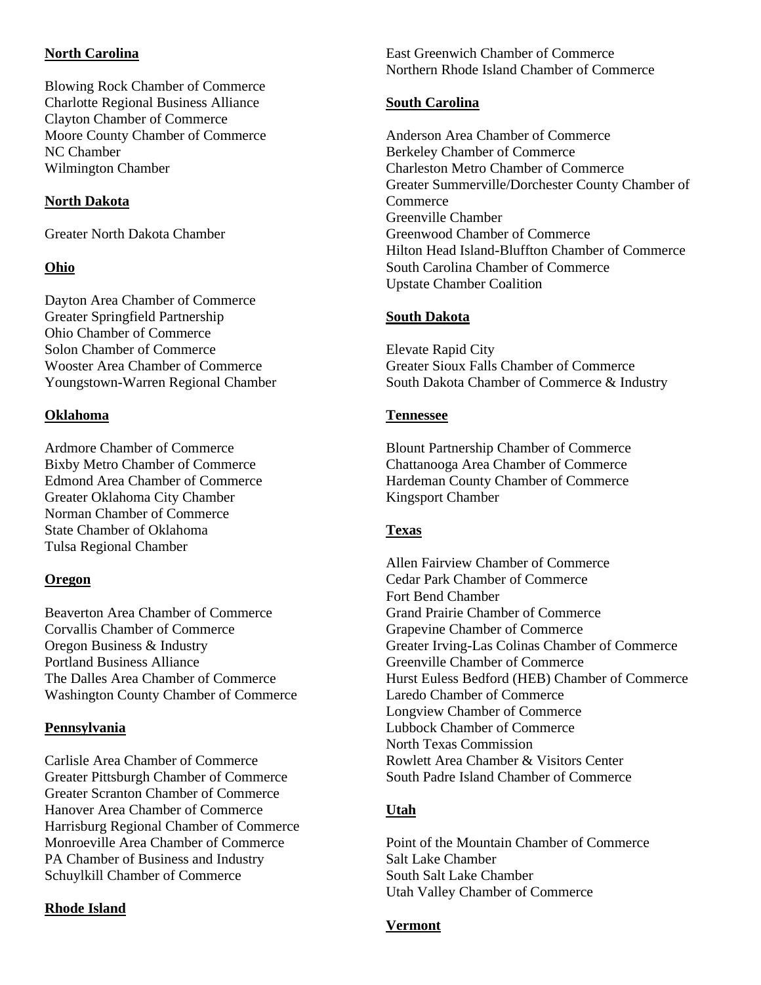## **North Carolina**

Blowing Rock Chamber of Commerce Charlotte Regional Business Alliance Clayton Chamber of Commerce Moore County Chamber of Commerce NC Chamber Wilmington Chamber

## **North Dakota**

Greater North Dakota Chamber

## **Ohio**

Dayton Area Chamber of Commerce Greater Springfield Partnership Ohio Chamber of Commerce Solon Chamber of Commerce Wooster Area Chamber of Commerce Youngstown-Warren Regional Chamber

## **Oklahoma**

Ardmore Chamber of Commerce Bixby Metro Chamber of Commerce Edmond Area Chamber of Commerce Greater Oklahoma City Chamber Norman Chamber of Commerce State Chamber of Oklahoma Tulsa Regional Chamber

## **Oregon**

Beaverton Area Chamber of Commerce Corvallis Chamber of Commerce Oregon Business & Industry Portland Business Alliance The Dalles Area Chamber of Commerce Washington County Chamber of Commerce

## **Pennsylvania**

Carlisle Area Chamber of Commerce Greater Pittsburgh Chamber of Commerce Greater Scranton Chamber of Commerce Hanover Area Chamber of Commerce Harrisburg Regional Chamber of Commerce Monroeville Area Chamber of Commerce PA Chamber of Business and Industry Schuylkill Chamber of Commerce

# **Rhode Island**

East Greenwich Chamber of Commerce Northern Rhode Island Chamber of Commerce

## **South Carolina**

Anderson Area Chamber of Commerce Berkeley Chamber of Commerce Charleston Metro Chamber of Commerce Greater Summerville/Dorchester County Chamber of **Commerce** Greenville Chamber Greenwood Chamber of Commerce Hilton Head Island-Bluffton Chamber of Commerce South Carolina Chamber of Commerce Upstate Chamber Coalition

## **South Dakota**

Elevate Rapid City Greater Sioux Falls Chamber of Commerce South Dakota Chamber of Commerce & Industry

## **Tennessee**

Blount Partnership Chamber of Commerce Chattanooga Area Chamber of Commerce Hardeman County Chamber of Commerce Kingsport Chamber

## **Texas**

Allen Fairview Chamber of Commerce Cedar Park Chamber of Commerce Fort Bend Chamber Grand Prairie Chamber of Commerce Grapevine Chamber of Commerce Greater Irving-Las Colinas Chamber of Commerce Greenville Chamber of Commerce Hurst Euless Bedford (HEB) Chamber of Commerce Laredo Chamber of Commerce Longview Chamber of Commerce Lubbock Chamber of Commerce North Texas Commission Rowlett Area Chamber & Visitors Center South Padre Island Chamber of Commerce

# **Utah**

Point of the Mountain Chamber of Commerce Salt Lake Chamber South Salt Lake Chamber Utah Valley Chamber of Commerce

## **Vermont**